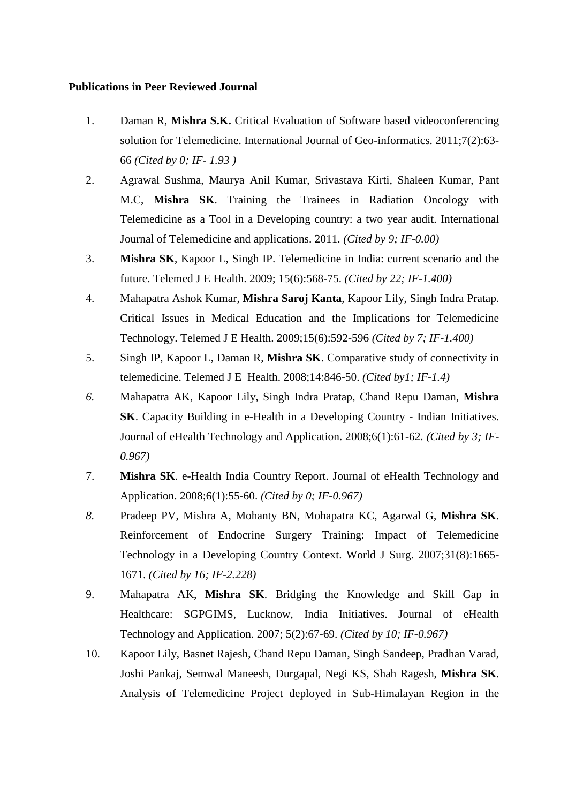## **Publications in Peer Reviewed Journal**

- 1. Daman R, **Mishra S.K.** Critical Evaluation of Software based videoconferencing solution for Telemedicine. International Journal of Geo-informatics. 2011;7(2):63- 66 *(Cited by 0; IF- 1.93 )*
- 2. Agrawal Sushma, Maurya Anil Kumar, Srivastava Kirti, Shaleen Kumar, Pant M.C, **Mishra SK**. Training the Trainees in Radiation Oncology with Telemedicine as a Tool in a Developing country: a two year audit. International Journal of Telemedicine and applications. 2011. *(Cited by 9; IF-0.00)*
- 3. **Mishra SK**, Kapoor L, Singh IP. [Telemedicine in India: current scenario and the](http://www.ncbi.nlm.nih.gov/pubmed/19659413?ordinalpos=2&itool=EntrezSystem2.PEntrez.Pubmed.Pubmed_ResultsPanel.Pubmed_DefaultReportPanel.Pubmed_RVDocSum)  [future.](http://www.ncbi.nlm.nih.gov/pubmed/19659413?ordinalpos=2&itool=EntrezSystem2.PEntrez.Pubmed.Pubmed_ResultsPanel.Pubmed_DefaultReportPanel.Pubmed_RVDocSum) Telemed J E Health. 2009; 15(6):568-75. *(Cited by 22; IF-1.400)*
- 4. Mahapatra Ashok Kumar, **Mishra Saroj Kanta**, Kapoor Lily, Singh Indra Pratap. Critical Issues in Medical Education and the Implications for Telemedicine Technology. Telemed J E Health. 2009;15(6):592-596 *(Cited by 7; IF-1.400)*
- 5. Singh IP, Kapoor L, Daman R, **Mishra SK**. Comparative study of connectivity in telemedicine. Telemed J E Health. 2008;14:846-50. *(Cited by1; IF-1.4)*
- *6.* Mahapatra AK, Kapoor Lily, Singh Indra Pratap, Chand Repu Daman, **Mishra SK**. Capacity Building in e-Health in a Developing Country - Indian Initiatives. Journal of eHealth Technology and Application. 2008;6(1):61-62. *(Cited by 3; IF-0.967)*
- 7. **Mishra SK**. e-Health India Country Report. Journal of eHealth Technology and Application. 2008;6(1):55-60. *(Cited by 0; IF-0.967)*
- *8.* [Pradeep PV, Mishra A, Mohanty BN, Mohapatra KC, Agarwal G,](http://www.ncbi.nlm.nih.gov/sites/entrez?Db=pubmed&Cmd=ShowDetailView&TermToSearch=17551784&ordinalpos=1&itool=EntrezSystem2.PEntrez.Pubmed.Pubmed_ResultsPanel.Pubmed_RVDocSum) **Mishra SK**. Reinforcement of Endocrine Surgery Training: Impact of Telemedicine Technology in a Developing Country Context. World J Surg. 2007;31(8):1665- 1671. *(Cited by 16; IF-2.228)*
- 9. Mahapatra AK, **Mishra SK**. Bridging the Knowledge and Skill Gap in Healthcare: SGPGIMS, Lucknow, India Initiatives. Journal of eHealth Technology and Application. 2007; 5(2):67-69. *(Cited by 10; IF-0.967)*
- 10. Kapoor Lily, Basnet Rajesh, Chand Repu Daman, Singh Sandeep, Pradhan Varad, Joshi Pankaj, Semwal Maneesh, Durgapal, Negi KS, Shah Ragesh, **Mishra SK**. Analysis of Telemedicine Project deployed in Sub-Himalayan Region in the